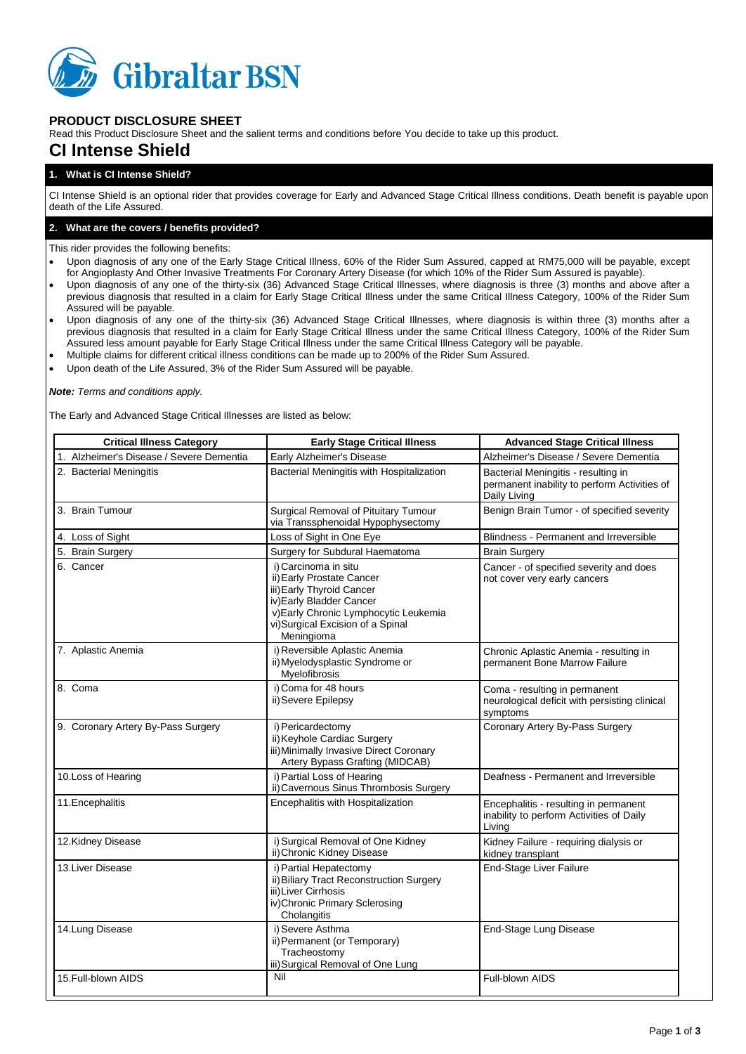

# **PRODUCT DISCLOSURE SHEET**

Read this Product Disclosure Sheet and the salient terms and conditions before You decide to take up this product.

# **CI Intense Shield**

# **1. What is CI Intense Shield?**

CI Intense Shield is an optional rider that provides coverage for Early and Advanced Stage Critical Illness conditions. Death benefit is payable upon death of the Life Assured.

## **2. What are the covers / benefits provided?**

This rider provides the following benefits:

- Upon diagnosis of any one of the Early Stage Critical Illness, 60% of the Rider Sum Assured, capped at RM75,000 will be payable, except for Angioplasty And Other Invasive Treatments For Coronary Artery Disease (for which 10% of the Rider Sum Assured is payable).
- Upon diagnosis of any one of the thirty-six (36) Advanced Stage Critical Illnesses, where diagnosis is three (3) months and above after a previous diagnosis that resulted in a claim for Early Stage Critical Illness under the same Critical Illness Category, 100% of the Rider Sum Assured will be payable.
- Upon diagnosis of any one of the thirty-six (36) Advanced Stage Critical Illnesses, where diagnosis is within three (3) months after a previous diagnosis that resulted in a claim for Early Stage Critical Illness under the same Critical Illness Category, 100% of the Rider Sum Assured less amount payable for Early Stage Critical Illness under the same Critical Illness Category will be payable.
- Multiple claims for different critical illness conditions can be made up to 200% of the Rider Sum Assured.
- Upon death of the Life Assured, 3% of the Rider Sum Assured will be payable.

*Note: Terms and conditions apply.*

The Early and Advanced Stage Critical Illnesses are listed as below:

| <b>Critical Illness Category</b>         | <b>Early Stage Critical Illness</b>                                                                                                                                                                   | <b>Advanced Stage Critical Illness</b>                                                              |
|------------------------------------------|-------------------------------------------------------------------------------------------------------------------------------------------------------------------------------------------------------|-----------------------------------------------------------------------------------------------------|
| 1. Alzheimer's Disease / Severe Dementia | Early Alzheimer's Disease                                                                                                                                                                             | Alzheimer's Disease / Severe Dementia                                                               |
| 2. Bacterial Meningitis                  | Bacterial Meningitis with Hospitalization                                                                                                                                                             | Bacterial Meningitis - resulting in<br>permanent inability to perform Activities of<br>Daily Living |
| 3. Brain Tumour                          | Surgical Removal of Pituitary Tumour<br>via Transsphenoidal Hypophysectomy                                                                                                                            | Benign Brain Tumor - of specified severity                                                          |
| 4. Loss of Sight                         | Loss of Sight in One Eye                                                                                                                                                                              | Blindness - Permanent and Irreversible                                                              |
| 5. Brain Surgery                         | Surgery for Subdural Haematoma                                                                                                                                                                        | <b>Brain Surgery</b>                                                                                |
| 6. Cancer                                | i) Carcinoma in situ<br>ii) Early Prostate Cancer<br>iii) Early Thyroid Cancer<br>iv) Early Bladder Cancer<br>v) Early Chronic Lymphocytic Leukemia<br>vi)Surgical Excision of a Spinal<br>Meningioma | Cancer - of specified severity and does<br>not cover very early cancers                             |
| 7. Aplastic Anemia                       | i) Reversible Aplastic Anemia<br>ii) Myelodysplastic Syndrome or<br>Myelofibrosis                                                                                                                     | Chronic Aplastic Anemia - resulting in<br>permanent Bone Marrow Failure                             |
| 8. Coma                                  | i) Coma for 48 hours<br>ii) Severe Epilepsy                                                                                                                                                           | Coma - resulting in permanent<br>neurological deficit with persisting clinical<br>symptoms          |
| 9. Coronary Artery By-Pass Surgery       | i) Pericardectomy<br>ii) Keyhole Cardiac Surgery<br>iii) Minimally Invasive Direct Coronary<br>Artery Bypass Grafting (MIDCAB)                                                                        | Coronary Artery By-Pass Surgery                                                                     |
| 10.Loss of Hearing                       | i) Partial Loss of Hearing<br>ii) Cavernous Sinus Thrombosis Surgery                                                                                                                                  | Deafness - Permanent and Irreversible                                                               |
| 11. Encephalitis                         | Encephalitis with Hospitalization                                                                                                                                                                     | Encephalitis - resulting in permanent<br>inability to perform Activities of Daily<br>Living         |
| 12.Kidney Disease                        | i) Surgical Removal of One Kidney<br>ii) Chronic Kidney Disease                                                                                                                                       | Kidney Failure - requiring dialysis or<br>kidney transplant                                         |
| 13. Liver Disease                        | i) Partial Hepatectomy<br>ii) Biliary Tract Reconstruction Surgery<br>iii) Liver Cirrhosis<br>iv)Chronic Primary Sclerosing<br>Cholangitis                                                            | End-Stage Liver Failure                                                                             |
| 14. Lung Disease                         | i) Severe Asthma<br>ii) Permanent (or Temporary)<br>Tracheostomy<br>iii) Surgical Removal of One Lung                                                                                                 | End-Stage Lung Disease                                                                              |
| 15. Full-blown AIDS                      | Nil                                                                                                                                                                                                   | Full-blown AIDS                                                                                     |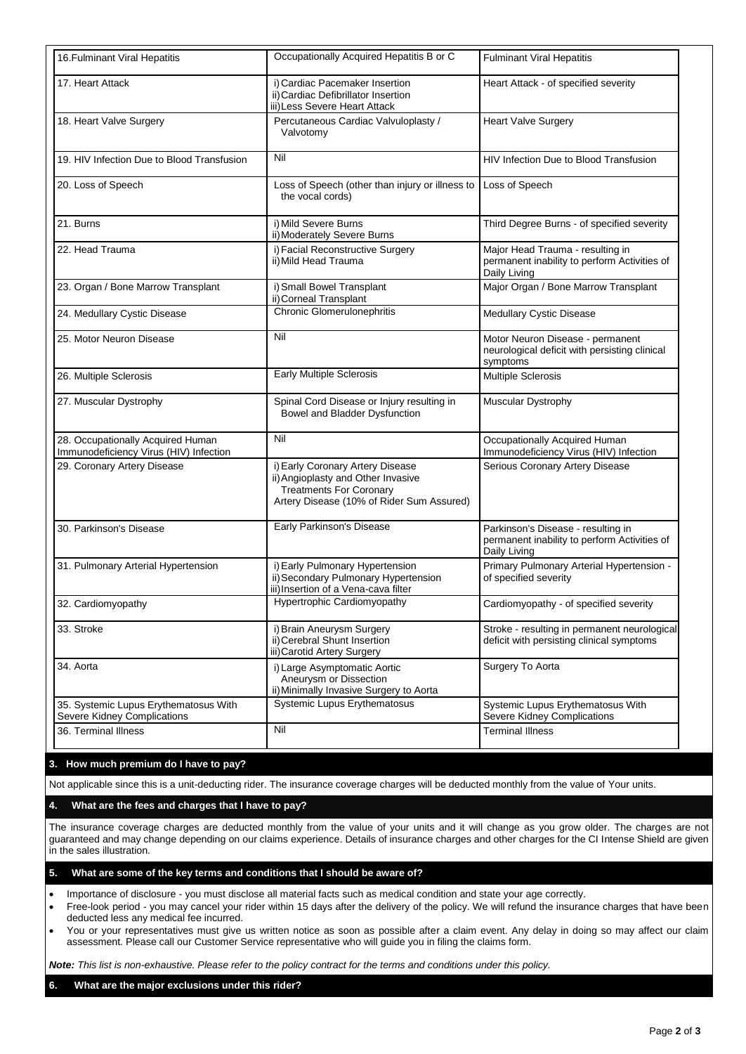| 16. Fulminant Viral Hepatitis                                               | Occupationally Acquired Hepatitis B or C                                                                                                              | <b>Fulminant Viral Hepatitis</b>                                                                   |
|-----------------------------------------------------------------------------|-------------------------------------------------------------------------------------------------------------------------------------------------------|----------------------------------------------------------------------------------------------------|
| 17. Heart Attack                                                            | i) Cardiac Pacemaker Insertion<br>ii) Cardiac Defibrillator Insertion<br>iii) Less Severe Heart Attack                                                | Heart Attack - of specified severity                                                               |
| 18. Heart Valve Surgery                                                     | Percutaneous Cardiac Valvuloplasty /<br>Valvotomy                                                                                                     | <b>Heart Valve Surgery</b>                                                                         |
| 19. HIV Infection Due to Blood Transfusion                                  | Nil                                                                                                                                                   | HIV Infection Due to Blood Transfusion                                                             |
| 20. Loss of Speech                                                          | Loss of Speech (other than injury or illness to<br>the vocal cords)                                                                                   | Loss of Speech                                                                                     |
| 21. Burns                                                                   | i) Mild Severe Burns<br>ii) Moderately Severe Burns                                                                                                   | Third Degree Burns - of specified severity                                                         |
| 22. Head Trauma                                                             | i) Facial Reconstructive Surgery<br>ii) Mild Head Trauma                                                                                              | Major Head Trauma - resulting in<br>permanent inability to perform Activities of<br>Daily Living   |
| 23. Organ / Bone Marrow Transplant                                          | i) Small Bowel Transplant<br>ii) Corneal Transplant                                                                                                   | Major Organ / Bone Marrow Transplant                                                               |
| 24. Medullary Cystic Disease                                                | <b>Chronic Glomerulonephritis</b>                                                                                                                     | <b>Medullary Cystic Disease</b>                                                                    |
| 25. Motor Neuron Disease                                                    | Nil                                                                                                                                                   | Motor Neuron Disease - permanent<br>neurological deficit with persisting clinical<br>symptoms      |
| 26. Multiple Sclerosis                                                      | <b>Early Multiple Sclerosis</b>                                                                                                                       | Multiple Sclerosis                                                                                 |
| 27. Muscular Dystrophy                                                      | Spinal Cord Disease or Injury resulting in<br>Bowel and Bladder Dysfunction                                                                           | Muscular Dystrophy                                                                                 |
| 28. Occupationally Acquired Human<br>Immunodeficiency Virus (HIV) Infection | Nil                                                                                                                                                   | Occupationally Acquired Human<br>Immunodeficiency Virus (HIV) Infection                            |
| 29. Coronary Artery Disease                                                 | i) Early Coronary Artery Disease<br>ii) Angioplasty and Other Invasive<br><b>Treatments For Coronary</b><br>Artery Disease (10% of Rider Sum Assured) | Serious Coronary Artery Disease                                                                    |
| 30. Parkinson's Disease                                                     | Early Parkinson's Disease                                                                                                                             | Parkinson's Disease - resulting in<br>permanent inability to perform Activities of<br>Daily Living |
| 31. Pulmonary Arterial Hypertension                                         | i) Early Pulmonary Hypertension<br>ii) Secondary Pulmonary Hypertension<br>iii) Insertion of a Vena-cava filter                                       | Primary Pulmonary Arterial Hypertension -<br>of specified severity                                 |
| 32. Cardiomyopathy                                                          | Hypertrophic Cardiomyopathy                                                                                                                           | Cardiomyopathy - of specified severity                                                             |
| 33. Stroke                                                                  | i) Brain Aneurysm Surgery<br>ii) Cerebral Shunt Insertion<br>iii) Carotid Artery Surgery                                                              | Stroke - resulting in permanent neurological<br>deficit with persisting clinical symptoms          |
| 34. Aorta                                                                   | i) Large Asymptomatic Aortic<br>Aneurysm or Dissection<br>ii) Minimally Invasive Surgery to Aorta                                                     | Surgery To Aorta                                                                                   |
| 35. Systemic Lupus Erythematosus With<br>Severe Kidney Complications        | Systemic Lupus Erythematosus                                                                                                                          | Systemic Lupus Erythematosus With<br>Severe Kidney Complications                                   |
| 36. Terminal Illness                                                        | Nil                                                                                                                                                   | <b>Terminal Illness</b>                                                                            |

### **3. How much premium do I have to pay?**

Not applicable since this is a unit-deducting rider. The insurance coverage charges will be deducted monthly from the value of Your units.

**4. What are the fees and charges that I have to pay?**

The insurance coverage charges are deducted monthly from the value of your units and it will change as you grow older. The charges are not guaranteed and may change depending on our claims experience. Details of insurance charges and other charges for the CI Intense Shield are given in the sales illustration.

### **5. What are some of the key terms and conditions that I should be aware of?**

Importance of disclosure - you must disclose all material facts such as medical condition and state your age correctly.

- Free-look period you may cancel your rider within 15 days after the delivery of the policy. We will refund the insurance charges that have been deducted less any medical fee incurred.
- You or your representatives must give us written notice as soon as possible after a claim event. Any delay in doing so may affect our claim assessment. Please call our Customer Service representative who will guide you in filing the claims form.

*Note: This list is non-exhaustive. Please refer to the policy contract for the terms and conditions under this policy.*

## **6. What are the major exclusions under this rider?**